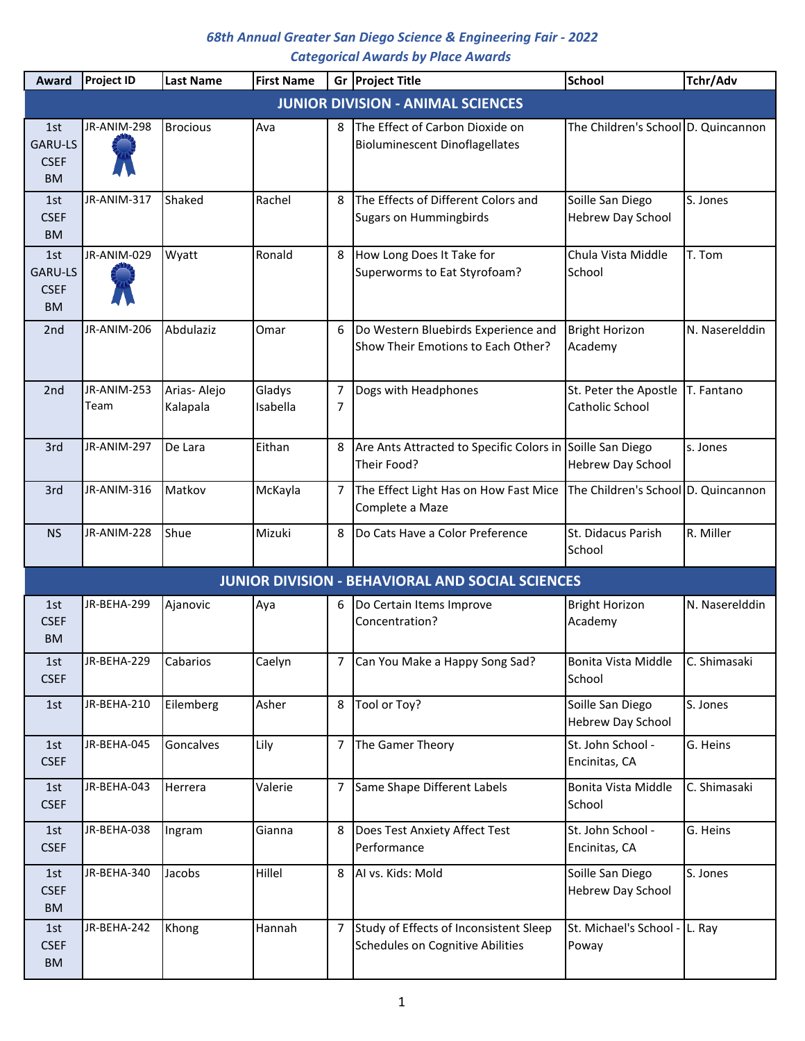| Award                                             | Project ID          | <b>Last Name</b>        | <b>First Name</b>  |        | Gr Project Title                                                           | <b>School</b>                                   | Tchr/Adv       |
|---------------------------------------------------|---------------------|-------------------------|--------------------|--------|----------------------------------------------------------------------------|-------------------------------------------------|----------------|
|                                                   |                     |                         |                    |        | <b>JUNIOR DIVISION - ANIMAL SCIENCES</b>                                   |                                                 |                |
| 1st<br>GARU-LS<br><b>CSEF</b><br><b>BM</b>        | JR-ANIM-298         | <b>Brocious</b>         | Ava                | 8      | The Effect of Carbon Dioxide on<br><b>Bioluminescent Dinoflagellates</b>   | The Children's School D. Quincannon             |                |
| 1st<br><b>CSEF</b><br><b>BM</b>                   | JR-ANIM-317         | Shaked                  | Rachel             | 8      | The Effects of Different Colors and<br><b>Sugars on Hummingbirds</b>       | Soille San Diego<br><b>Hebrew Day School</b>    | S. Jones       |
| 1st<br><b>GARU-LS</b><br><b>CSEF</b><br><b>BM</b> | JR-ANIM-029         | Wyatt                   | Ronald             | 8      | How Long Does It Take for<br>Superworms to Eat Styrofoam?                  | Chula Vista Middle<br>School                    | T. Tom         |
| 2nd                                               | JR-ANIM-206         | Abdulaziz               | Omar               | 6      | Do Western Bluebirds Experience and<br>Show Their Emotions to Each Other?  | <b>Bright Horizon</b><br>Academy                | N. Naserelddin |
| 2nd                                               | JR-ANIM-253<br>Team | Arias-Alejo<br>Kalapala | Gladys<br>Isabella | 7<br>7 | Dogs with Headphones                                                       | St. Peter the Apostle<br><b>Catholic School</b> | T. Fantano     |
| 3rd                                               | JR-ANIM-297         | De Lara                 | Eithan             | 8      | Are Ants Attracted to Specific Colors in Soille San Diego<br>Their Food?   | <b>Hebrew Day School</b>                        | s. Jones       |
| 3rd                                               | JR-ANIM-316         | Matkov                  | McKayla            | 7      | The Effect Light Has on How Fast Mice<br>Complete a Maze                   | The Children's School D. Quincannon             |                |
| <b>NS</b>                                         | JR-ANIM-228         | Shue                    | Mizuki             | 8      | Do Cats Have a Color Preference                                            | St. Didacus Parish<br>School                    | R. Miller      |
|                                                   |                     |                         |                    |        | <b>JUNIOR DIVISION - BEHAVIORAL AND SOCIAL SCIENCES</b>                    |                                                 |                |
| 1st<br><b>CSEF</b><br><b>BM</b>                   | JR-BEHA-299         | Ajanovic                | Aya                | 6      | Do Certain Items Improve<br>Concentration?                                 | <b>Bright Horizon</b><br>Academy                | N. Naserelddin |
| 1st<br><b>CSEF</b>                                | JR-BEHA-229         | Cabarios                | Caelyn             |        | Can You Make a Happy Song Sad?                                             | Bonita Vista Middle<br>School                   | C. Shimasaki   |
| 1st                                               | JR-BEHA-210         | Eilemberg               | Asher              | 8      | Tool or Toy?                                                               | Soille San Diego<br><b>Hebrew Day School</b>    | S. Jones       |
| 1st<br><b>CSEF</b>                                | JR-BEHA-045         | Goncalves               | Lily               | 7      | The Gamer Theory                                                           | St. John School -<br>Encinitas, CA              | G. Heins       |
| 1st<br><b>CSEF</b>                                | JR-BEHA-043         | Herrera                 | Valerie            | 7      | Same Shape Different Labels                                                | Bonita Vista Middle<br>School                   | C. Shimasaki   |
| 1st<br><b>CSEF</b>                                | JR-BEHA-038         | Ingram                  | Gianna             | 8      | Does Test Anxiety Affect Test<br>Performance                               | St. John School -<br>Encinitas, CA              | G. Heins       |
| 1st<br><b>CSEF</b><br><b>BM</b>                   | JR-BEHA-340         | Jacobs                  | Hillel             | 8      | AI vs. Kids: Mold                                                          | Soille San Diego<br><b>Hebrew Day School</b>    | S. Jones       |
| 1st<br><b>CSEF</b><br><b>BM</b>                   | JR-BEHA-242         | Khong                   | Hannah             | 7      | Study of Effects of Inconsistent Sleep<br>Schedules on Cognitive Abilities | St. Michael's School -<br>Poway                 | L. Ray         |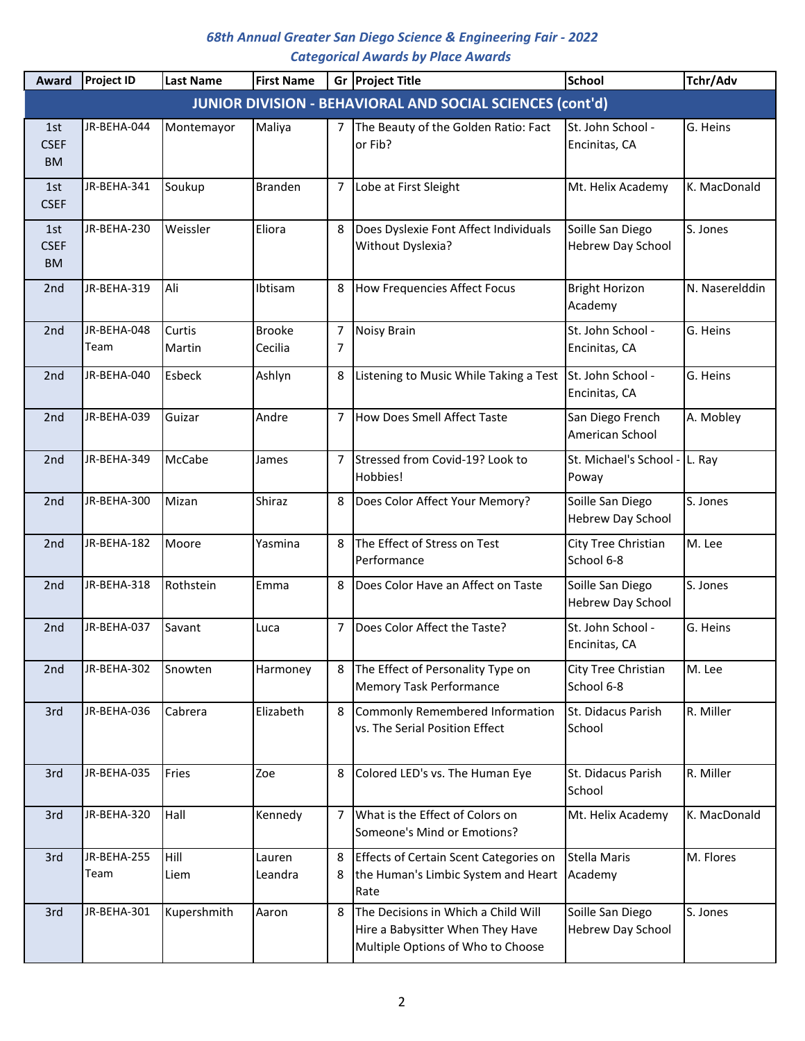| Award                           | <b>Project ID</b>   | <b>Last Name</b> | <b>First Name</b>        |                | Gr Project Title                                                                                             | <b>School</b>                                | Tchr/Adv       |
|---------------------------------|---------------------|------------------|--------------------------|----------------|--------------------------------------------------------------------------------------------------------------|----------------------------------------------|----------------|
|                                 |                     |                  |                          |                | <b>JUNIOR DIVISION - BEHAVIORAL AND SOCIAL SCIENCES (cont'd)</b>                                             |                                              |                |
| 1st<br><b>CSEF</b><br><b>BM</b> | JR-BEHA-044         | Montemayor       | Maliya                   | $\overline{7}$ | The Beauty of the Golden Ratio: Fact<br>or Fib?                                                              | St. John School -<br>Encinitas, CA           | G. Heins       |
| 1st<br><b>CSEF</b>              | JR-BEHA-341         | Soukup           | <b>Branden</b>           | 7              | Lobe at First Sleight                                                                                        | Mt. Helix Academy                            | K. MacDonald   |
| 1st<br><b>CSEF</b><br><b>BM</b> | JR-BEHA-230         | Weissler         | Eliora                   | 8              | Does Dyslexie Font Affect Individuals<br>Without Dyslexia?                                                   | Soille San Diego<br><b>Hebrew Day School</b> | S. Jones       |
| 2 <sub>nd</sub>                 | JR-BEHA-319         | Ali              | Ibtisam                  | 8              | How Frequencies Affect Focus                                                                                 | <b>Bright Horizon</b><br>Academy             | N. Naserelddin |
| 2nd                             | JR-BEHA-048<br>Team | Curtis<br>Martin | <b>Brooke</b><br>Cecilia | 7<br>7         | Noisy Brain                                                                                                  | St. John School -<br>Encinitas, CA           | G. Heins       |
| 2nd                             | JR-BEHA-040         | <b>Esbeck</b>    | Ashlyn                   | 8              | Listening to Music While Taking a Test                                                                       | St. John School -<br>Encinitas, CA           | G. Heins       |
| 2nd                             | JR-BEHA-039         | Guizar           | Andre                    | 7              | How Does Smell Affect Taste                                                                                  | San Diego French<br>American School          | A. Mobley      |
| 2nd                             | JR-BEHA-349         | <b>McCabe</b>    | James                    | $\overline{7}$ | Stressed from Covid-19? Look to<br>Hobbies!                                                                  | St. Michael's School -<br>Poway              | L. Ray         |
| 2 <sub>nd</sub>                 | JR-BEHA-300         | Mizan            | Shiraz                   | 8              | Does Color Affect Your Memory?                                                                               | Soille San Diego<br><b>Hebrew Day School</b> | S. Jones       |
| 2nd                             | JR-BEHA-182         | Moore            | Yasmina                  | 8              | The Effect of Stress on Test<br>Performance                                                                  | City Tree Christian<br>School 6-8            | M. Lee         |
| 2nd                             | JR-BEHA-318         | Rothstein        | Emma                     | 8              | Does Color Have an Affect on Taste                                                                           | Soille San Diego<br><b>Hebrew Day School</b> | S. Jones       |
| 2 <sub>nd</sub>                 | JR-BEHA-037         | Savant           | Luca                     | 7              | Does Color Affect the Taste?                                                                                 | St. John School -<br>Encinitas, CA           | G. Heins       |
| 2nd                             | JR-BEHA-302         | Snowten          | Harmoney                 | 8              | The Effect of Personality Type on<br><b>Memory Task Performance</b>                                          | City Tree Christian<br>School 6-8            | M. Lee         |
| 3rd                             | JR-BEHA-036         | Cabrera          | Elizabeth                | 8              | Commonly Remembered Information<br>vs. The Serial Position Effect                                            | St. Didacus Parish<br>School                 | R. Miller      |
| 3rd                             | JR-BEHA-035         | Fries            | Zoe                      | 8              | Colored LED's vs. The Human Eye                                                                              | St. Didacus Parish<br>School                 | R. Miller      |
| 3rd                             | JR-BEHA-320         | Hall             | Kennedy                  | 7              | What is the Effect of Colors on<br>Someone's Mind or Emotions?                                               | Mt. Helix Academy                            | K. MacDonald   |
| 3rd                             | JR-BEHA-255<br>Team | Hill<br>Liem     | Lauren<br>Leandra        | 8<br>8         | Effects of Certain Scent Categories on<br>the Human's Limbic System and Heart<br>Rate                        | <b>Stella Maris</b><br>Academy               | M. Flores      |
| 3rd                             | JR-BEHA-301         | Kupershmith      | Aaron                    | 8              | The Decisions in Which a Child Will<br>Hire a Babysitter When They Have<br>Multiple Options of Who to Choose | Soille San Diego<br><b>Hebrew Day School</b> | S. Jones       |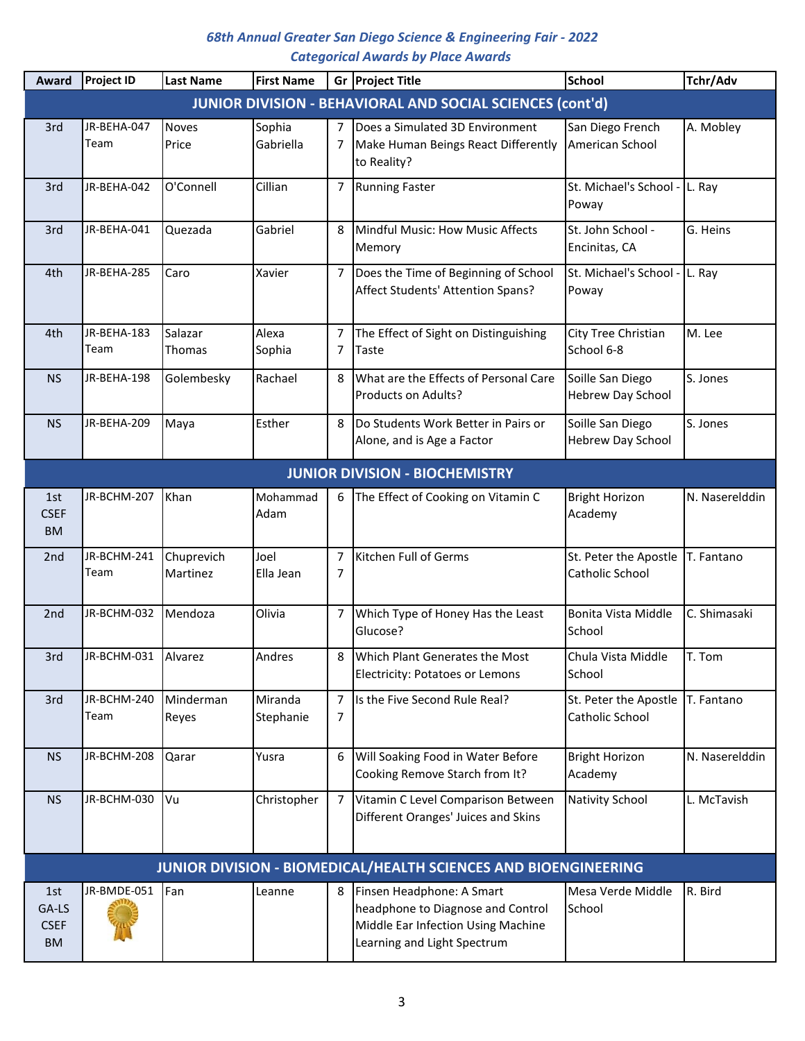| Award                                    | Project ID          | <b>Last Name</b>       | <b>First Name</b>    |                | Gr Project Title                                                                                                                    | <b>School</b>                                | Tchr/Adv       |
|------------------------------------------|---------------------|------------------------|----------------------|----------------|-------------------------------------------------------------------------------------------------------------------------------------|----------------------------------------------|----------------|
|                                          |                     |                        |                      |                | <b>JUNIOR DIVISION - BEHAVIORAL AND SOCIAL SCIENCES (cont'd)</b>                                                                    |                                              |                |
| 3rd                                      | JR-BEHA-047<br>Team | <b>Noves</b><br>Price  | Sophia<br>Gabriella  | 7<br>7         | Does a Simulated 3D Environment<br>Make Human Beings React Differently<br>to Reality?                                               | San Diego French<br>American School          | A. Mobley      |
| 3rd                                      | JR-BEHA-042         | O'Connell              | Cillian              | 7              | <b>Running Faster</b>                                                                                                               | St. Michael's School -<br>Poway              | L. Ray         |
| 3rd                                      | JR-BEHA-041         | Quezada                | Gabriel              | 8              | Mindful Music: How Music Affects<br>Memory                                                                                          | St. John School -<br>Encinitas, CA           | G. Heins       |
| 4th                                      | JR-BEHA-285         | Caro                   | Xavier               | 7              | Does the Time of Beginning of School<br>Affect Students' Attention Spans?                                                           | St. Michael's School -<br>Poway              | L. Ray         |
| 4th                                      | JR-BEHA-183<br>Team | Salazar<br>Thomas      | Alexa<br>Sophia      | 7<br>7         | The Effect of Sight on Distinguishing<br><b>Taste</b>                                                                               | City Tree Christian<br>School 6-8            | M. Lee         |
| <b>NS</b>                                | JR-BEHA-198         | Golembesky             | Rachael              | 8              | What are the Effects of Personal Care<br>Products on Adults?                                                                        | Soille San Diego<br>Hebrew Day School        | S. Jones       |
| <b>NS</b>                                | JR-BEHA-209         | Maya                   | Esther               | 8              | Do Students Work Better in Pairs or<br>Alone, and is Age a Factor                                                                   | Soille San Diego<br><b>Hebrew Day School</b> | S. Jones       |
|                                          |                     |                        |                      |                | <b>JUNIOR DIVISION - BIOCHEMISTRY</b>                                                                                               |                                              |                |
| 1st<br><b>CSEF</b><br><b>BM</b>          | JR-BCHM-207         | Khan                   | Mohammad<br>Adam     | 6              | The Effect of Cooking on Vitamin C                                                                                                  | <b>Bright Horizon</b><br>Academy             | N. Naserelddin |
| 2nd                                      | JR-BCHM-241<br>Team | Chuprevich<br>Martinez | Joel<br>Ella Jean    | 7<br>7         | Kitchen Full of Germs                                                                                                               | St. Peter the Apostle<br>Catholic School     | T. Fantano     |
| 2nd                                      | JR-BCHM-032         | Mendoza                | Olivia               | 7              | Which Type of Honey Has the Least<br>Glucose?                                                                                       | Bonita Vista Middle<br>School                | C. Shimasaki   |
| 3rd                                      | JR-BCHM-031 Alvarez |                        | Andres               | 8              | Which Plant Generates the Most<br><b>Electricity: Potatoes or Lemons</b>                                                            | Chula Vista Middle<br>School                 | T. Tom         |
| 3rd                                      | JR-BCHM-240<br>Team | Minderman<br>Reyes     | Miranda<br>Stephanie | 7<br>7         | Is the Five Second Rule Real?                                                                                                       | St. Peter the Apostle<br>Catholic School     | T. Fantano     |
| <b>NS</b>                                | JR-BCHM-208         | Qarar                  | Yusra                | 6              | Will Soaking Food in Water Before<br>Cooking Remove Starch from It?                                                                 | <b>Bright Horizon</b><br>Academy             | N. Naserelddin |
| <b>NS</b>                                | JR-BCHM-030         | <b>I</b> Vu            | Christopher          | $\overline{7}$ | Vitamin C Level Comparison Between<br>Different Oranges' Juices and Skins                                                           | <b>Nativity School</b>                       | L. McTavish    |
|                                          |                     |                        |                      |                | JUNIOR DIVISION - BIOMEDICAL/HEALTH SCIENCES AND BIOENGINEERING                                                                     |                                              |                |
| 1st<br>GA-LS<br><b>CSEF</b><br><b>BM</b> | JR-BMDE-051         | Fan                    | Leanne               | 8              | Finsen Headphone: A Smart<br>headphone to Diagnose and Control<br>Middle Ear Infection Using Machine<br>Learning and Light Spectrum | Mesa Verde Middle<br>School                  | R. Bird        |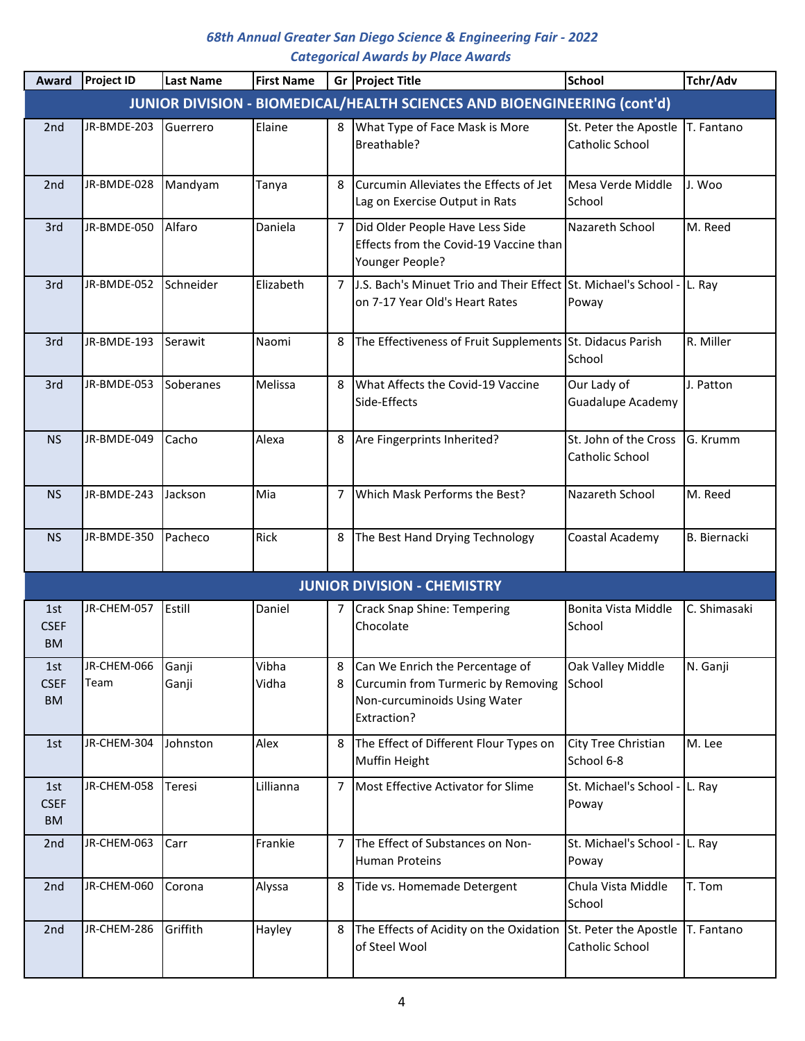| Award                           | <b>Project ID</b>   | <b>Last Name</b> | <b>First Name</b> |                | Gr Project Title                                                                                                     | <b>School</b>                            | Tchr/Adv            |
|---------------------------------|---------------------|------------------|-------------------|----------------|----------------------------------------------------------------------------------------------------------------------|------------------------------------------|---------------------|
|                                 |                     |                  |                   |                | JUNIOR DIVISION - BIOMEDICAL/HEALTH SCIENCES AND BIOENGINEERING (cont'd)                                             |                                          |                     |
| 2 <sub>nd</sub>                 | JR-BMDE-203         | Guerrero         | Elaine            | 8              | What Type of Face Mask is More<br>Breathable?                                                                        | St. Peter the Apostle<br>Catholic School | T. Fantano          |
| 2 <sub>nd</sub>                 | JR-BMDE-028         | Mandyam          | Tanya             | 8              | Curcumin Alleviates the Effects of Jet<br>Lag on Exercise Output in Rats                                             | Mesa Verde Middle<br>School              | J. Woo              |
| 3rd                             | JR-BMDE-050         | Alfaro           | Daniela           | 7              | Did Older People Have Less Side<br>Effects from the Covid-19 Vaccine than<br>Younger People?                         | Nazareth School                          | M. Reed             |
| 3rd                             | JR-BMDE-052         | Schneider        | Elizabeth         | $\overline{7}$ | J.S. Bach's Minuet Trio and Their Effect St. Michael's School - L. Ray<br>on 7-17 Year Old's Heart Rates             | Poway                                    |                     |
| 3rd                             | JR-BMDE-193         | <b>Serawit</b>   | Naomi             | 8              | The Effectiveness of Fruit Supplements St. Didacus Parish                                                            | School                                   | R. Miller           |
| 3rd                             | JR-BMDE-053         | Soberanes        | Melissa           | 8              | What Affects the Covid-19 Vaccine<br>Side-Effects                                                                    | Our Lady of<br><b>Guadalupe Academy</b>  | J. Patton           |
| <b>NS</b>                       | JR-BMDE-049         | Cacho            | Alexa             | 8              | Are Fingerprints Inherited?                                                                                          | St. John of the Cross<br>Catholic School | G. Krumm            |
| NS.                             | JR-BMDE-243         | Jackson          | Mia               | 7              | Which Mask Performs the Best?                                                                                        | Nazareth School                          | M. Reed             |
| <b>NS</b>                       | JR-BMDE-350         | Pacheco          | Rick              | 8              | The Best Hand Drying Technology                                                                                      | Coastal Academy                          | <b>B.</b> Biernacki |
|                                 |                     |                  |                   |                | <b>JUNIOR DIVISION - CHEMISTRY</b>                                                                                   |                                          |                     |
| 1st<br><b>CSEF</b><br><b>BM</b> | JR-CHEM-057         | Estill           | Daniel            | 7              | Crack Snap Shine: Tempering<br>Chocolate                                                                             | Bonita Vista Middle<br>School            | C. Shimasaki        |
| 1st<br><b>CSEF</b><br><b>BM</b> | JR-CHEM-066<br>Team | Ganji<br>Ganji   | Vibha<br>Vidha    | 8<br>8         | Can We Enrich the Percentage of<br>Curcumin from Turmeric by Removing<br>Non-curcuminoids Using Water<br>Extraction? | Oak Valley Middle<br>School              | N. Ganji            |
| 1st                             | JR-CHEM-304         | Johnston         | Alex              | 8              | The Effect of Different Flour Types on<br><b>Muffin Height</b>                                                       | City Tree Christian<br>School 6-8        | M. Lee              |
| 1st<br><b>CSEF</b><br><b>BM</b> | JR-CHEM-058         | Teresi           | Lillianna         | 7              | Most Effective Activator for Slime                                                                                   | St. Michael's School - L. Ray<br>Poway   |                     |
| 2nd                             | JR-CHEM-063         | Carr             | Frankie           | 7              | The Effect of Substances on Non-<br><b>Human Proteins</b>                                                            | St. Michael's School - L. Ray<br>Poway   |                     |
| 2 <sub>nd</sub>                 | JR-CHEM-060         | Corona           | Alyssa            | 8              | Tide vs. Homemade Detergent                                                                                          | Chula Vista Middle<br>School             | T. Tom              |
| 2 <sub>nd</sub>                 | JR-CHEM-286         | Griffith         | Hayley            | 8              | The Effects of Acidity on the Oxidation<br>of Steel Wool                                                             | St. Peter the Apostle<br>Catholic School | T. Fantano          |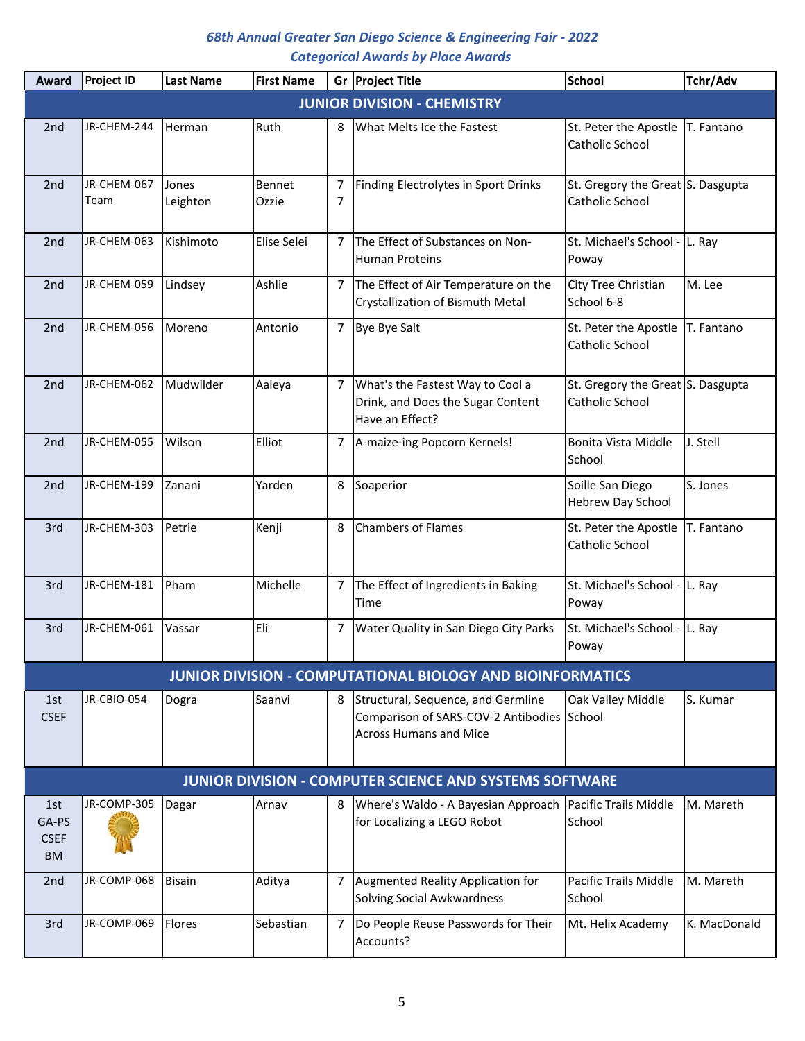| Award                                    | <b>Project ID</b>   | <b>Last Name</b>  | <b>First Name</b> |                | Gr Project Title                                                                                                  | <b>School</b>                                        | Tchr/Adv     |
|------------------------------------------|---------------------|-------------------|-------------------|----------------|-------------------------------------------------------------------------------------------------------------------|------------------------------------------------------|--------------|
|                                          |                     |                   |                   |                | <b>JUNIOR DIVISION - CHEMISTRY</b>                                                                                |                                                      |              |
| 2nd                                      | JR-CHEM-244         | Herman            | Ruth              | 8              | What Melts Ice the Fastest                                                                                        | St. Peter the Apostle<br>Catholic School             | T. Fantano   |
| 2nd                                      | JR-CHEM-067<br>Team | Jones<br>Leighton | Bennet<br>Ozzie   | 7<br>7         | Finding Electrolytes in Sport Drinks                                                                              | St. Gregory the Great S. Dasgupta<br>Catholic School |              |
| 2 <sub>nd</sub>                          | JR-CHEM-063         | Kishimoto         | Elise Selei       | 7              | The Effect of Substances on Non-<br><b>Human Proteins</b>                                                         | St. Michael's School - L. Ray<br>Poway               |              |
| 2 <sub>nd</sub>                          | JR-CHEM-059         | Lindsey           | Ashlie            | 7              | The Effect of Air Temperature on the<br>Crystallization of Bismuth Metal                                          | City Tree Christian<br>School 6-8                    | M. Lee       |
| 2 <sub>nd</sub>                          | JR-CHEM-056         | Moreno            | Antonio           | 7              | <b>Bye Bye Salt</b>                                                                                               | St. Peter the Apostle<br>Catholic School             | T. Fantano   |
| 2nd                                      | JR-CHEM-062         | Mudwilder         | Aaleya            | 7              | What's the Fastest Way to Cool a<br>Drink, and Does the Sugar Content<br>Have an Effect?                          | St. Gregory the Great S. Dasgupta<br>Catholic School |              |
| 2 <sub>nd</sub>                          | JR-CHEM-055         | <b>Wilson</b>     | Elliot            | 7              | A-maize-ing Popcorn Kernels!                                                                                      | Bonita Vista Middle<br>School                        | J. Stell     |
| 2 <sub>nd</sub>                          | JR-CHEM-199         | <b>Zanani</b>     | Yarden            | 8              | Soaperior                                                                                                         | Soille San Diego<br><b>Hebrew Day School</b>         | S. Jones     |
| 3rd                                      | JR-CHEM-303         | Petrie            | Kenji             | 8              | <b>Chambers of Flames</b>                                                                                         | St. Peter the Apostle<br>Catholic School             | T. Fantano   |
| 3rd                                      | JR-CHEM-181         | <b>Pham</b>       | Michelle          | 7              | The Effect of Ingredients in Baking<br>Time                                                                       | St. Michael's School - L. Ray<br>Poway               |              |
| 3rd                                      | JR-CHEM-061         | Vassar            | Eli               | 7              | Water Quality in San Diego City Parks                                                                             | St. Michael's School - L. Ray<br>Poway               |              |
|                                          |                     |                   |                   |                | <b>JUNIOR DIVISION - COMPUTATIONAL BIOLOGY AND BIOINFORMATICS</b>                                                 |                                                      |              |
| 1st<br><b>CSEF</b>                       | JR-CBIO-054         | Dogra             | Saanvi            | 8              | Structural, Sequence, and Germline<br>Comparison of SARS-COV-2 Antibodies School<br><b>Across Humans and Mice</b> | Oak Valley Middle                                    | S. Kumar     |
|                                          |                     |                   |                   |                | <b>JUNIOR DIVISION - COMPUTER SCIENCE AND SYSTEMS SOFTWARE</b>                                                    |                                                      |              |
| 1st<br>GA-PS<br><b>CSEF</b><br><b>BM</b> | JR-COMP-305         | Dagar             | Arnav             | 8              | Where's Waldo - A Bayesian Approach Pacific Trails Middle<br>for Localizing a LEGO Robot                          | School                                               | M. Mareth    |
| 2nd                                      | JR-COMP-068         | <b>Bisain</b>     | Aditya            | 7              | Augmented Reality Application for<br><b>Solving Social Awkwardness</b>                                            | Pacific Trails Middle<br>School                      | M. Mareth    |
| 3rd                                      | JR-COMP-069         | Flores            | Sebastian         | $\overline{7}$ | Do People Reuse Passwords for Their<br>Accounts?                                                                  | Mt. Helix Academy                                    | K. MacDonald |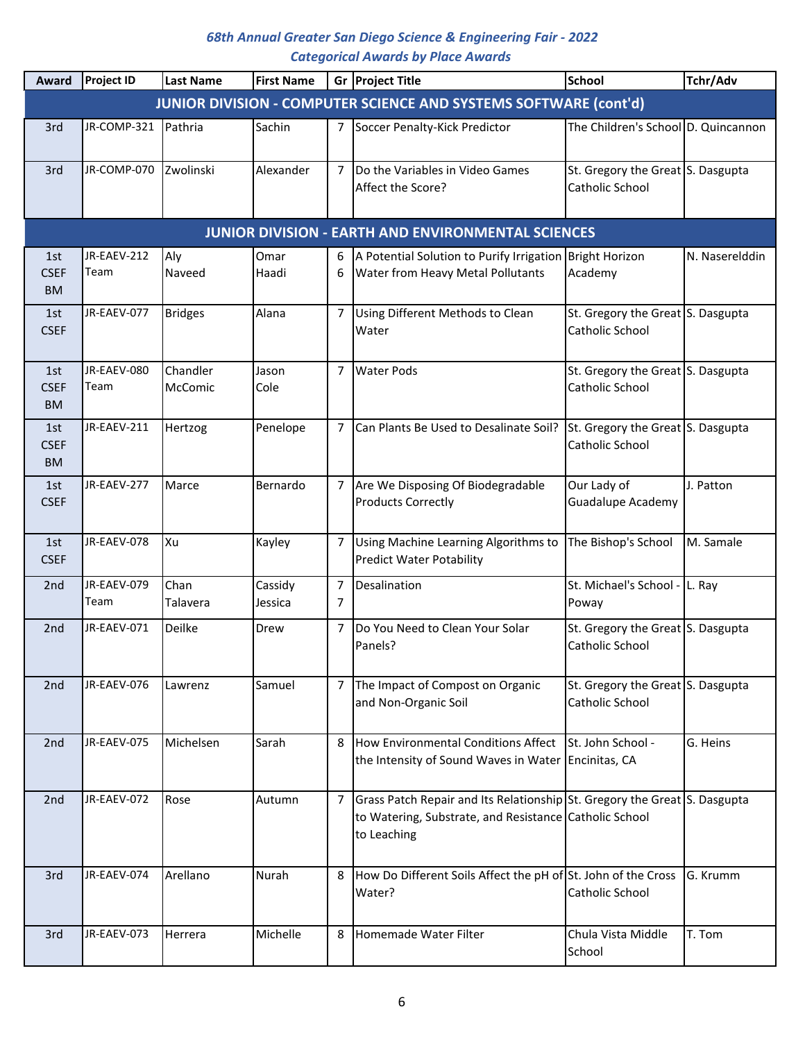| Award                           | <b>Project ID</b>   | <b>Last Name</b>    | <b>First Name</b>  |                     | Gr Project Title                                                                                                                                   | <b>School</b>                                        | Tchr/Adv       |
|---------------------------------|---------------------|---------------------|--------------------|---------------------|----------------------------------------------------------------------------------------------------------------------------------------------------|------------------------------------------------------|----------------|
|                                 |                     |                     |                    |                     | JUNIOR DIVISION - COMPUTER SCIENCE AND SYSTEMS SOFTWARE (cont'd)                                                                                   |                                                      |                |
| 3rd                             | JR-COMP-321         | Pathria             | Sachin             | $\overline{7}$      | Soccer Penalty-Kick Predictor                                                                                                                      | The Children's School D. Quincannon                  |                |
| 3rd                             | JR-COMP-070         | Zwolinski           | Alexander          | $\overline{7}$      | Do the Variables in Video Games<br>Affect the Score?                                                                                               | St. Gregory the Great S. Dasgupta<br>Catholic School |                |
|                                 |                     |                     |                    |                     | <b>JUNIOR DIVISION - EARTH AND ENVIRONMENTAL SCIENCES</b>                                                                                          |                                                      |                |
| 1st                             | JR-EAEV-212         | Aly                 | Omar               | 6                   | A Potential Solution to Purify Irrigation Bright Horizon                                                                                           |                                                      | N. Naserelddin |
| <b>CSEF</b><br><b>BM</b>        | Team                | Naveed              | Haadi              | 6                   | Water from Heavy Metal Pollutants                                                                                                                  | Academy                                              |                |
| 1st<br><b>CSEF</b>              | JR-EAEV-077         | <b>Bridges</b>      | Alana              | $\overline{7}$      | Using Different Methods to Clean<br>Water                                                                                                          | St. Gregory the Great S. Dasgupta<br>Catholic School |                |
| 1st<br><b>CSEF</b><br><b>BM</b> | JR-EAEV-080<br>Team | Chandler<br>McComic | Jason<br>Cole      | 7                   | <b>Water Pods</b>                                                                                                                                  | St. Gregory the Great S. Dasgupta<br>Catholic School |                |
| 1st<br><b>CSEF</b><br><b>BM</b> | JR-EAEV-211         | Hertzog             | Penelope           | 7                   | Can Plants Be Used to Desalinate Soil?                                                                                                             | St. Gregory the Great S. Dasgupta<br>Catholic School |                |
| 1st<br><b>CSEF</b>              | JR-EAEV-277         | Marce               | Bernardo           | $\overline{7}$      | Are We Disposing Of Biodegradable<br><b>Products Correctly</b>                                                                                     | Our Lady of<br><b>Guadalupe Academy</b>              | J. Patton      |
| 1st<br><b>CSEF</b>              | JR-EAEV-078         | lXu                 | Kayley             | 7                   | Using Machine Learning Algorithms to<br><b>Predict Water Potability</b>                                                                            | The Bishop's School                                  | M. Samale      |
| 2nd                             | JR-EAEV-079<br>Team | Chan<br>Talavera    | Cassidy<br>Jessica | $\overline{7}$<br>7 | Desalination                                                                                                                                       | St. Michael's School - L. Ray<br>Poway               |                |
| 2nd                             | JR-EAEV-071         | Deilke              | Drew               | 7                   | Do You Need to Clean Your Solar<br>Panels?                                                                                                         | St. Gregory the Great S. Dasgupta<br>Catholic School |                |
| 2nd                             | JR-EAEV-076         | Lawrenz             | Samuel             | 7                   | The Impact of Compost on Organic<br>and Non-Organic Soil                                                                                           | St. Gregory the Great S. Dasgupta<br>Catholic School |                |
| 2nd                             | JR-EAEV-075         | Michelsen           | Sarah              | 8                   | How Environmental Conditions Affect<br>the Intensity of Sound Waves in Water Encinitas, CA                                                         | St. John School -                                    | G. Heins       |
| 2nd                             | JR-EAEV-072         | Rose                | Autumn             | $\overline{7}$      | Grass Patch Repair and Its Relationship St. Gregory the Great S. Dasgupta<br>to Watering, Substrate, and Resistance Catholic School<br>to Leaching |                                                      |                |
| 3rd                             | JR-EAEV-074         | Arellano            | Nurah              | 8                   | How Do Different Soils Affect the pH of St. John of the Cross<br>Water?                                                                            | Catholic School                                      | G. Krumm       |
| 3rd                             | JR-EAEV-073         | Herrera             | Michelle           | 8                   | Homemade Water Filter                                                                                                                              | Chula Vista Middle<br>School                         | T. Tom         |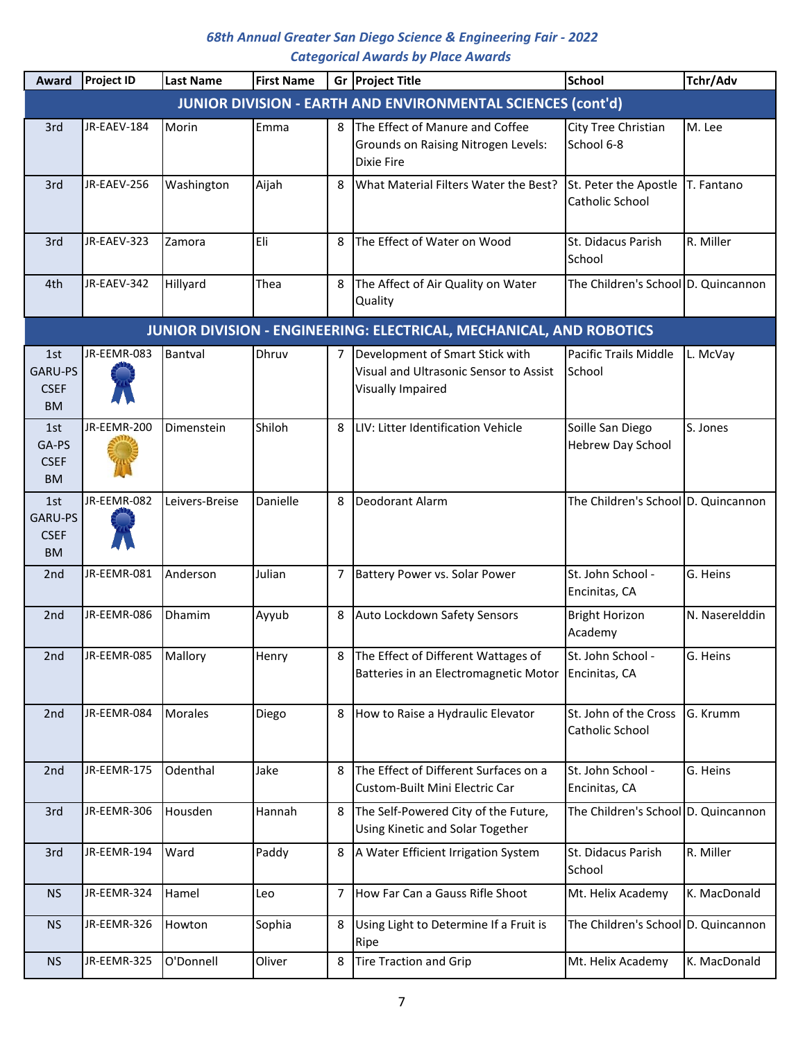| Award                                      | <b>Project ID</b> | <b>Last Name</b> | <b>First Name</b> |   | Gr Project Title                                                                               | <b>School</b>                            | Tchr/Adv       |
|--------------------------------------------|-------------------|------------------|-------------------|---|------------------------------------------------------------------------------------------------|------------------------------------------|----------------|
|                                            |                   |                  |                   |   | <b>JUNIOR DIVISION - EARTH AND ENVIRONMENTAL SCIENCES (cont'd)</b>                             |                                          |                |
| 3rd                                        | JR-EAEV-184       | Morin            | Emma              | 8 | The Effect of Manure and Coffee<br>Grounds on Raising Nitrogen Levels:<br><b>Dixie Fire</b>    | City Tree Christian<br>School 6-8        | M. Lee         |
| 3rd                                        | JR-EAEV-256       | Washington       | Aijah             | 8 | What Material Filters Water the Best?                                                          | St. Peter the Apostle<br>Catholic School | T. Fantano     |
| 3rd                                        | JR-EAEV-323       | Zamora           | Eli               | 8 | The Effect of Water on Wood                                                                    | St. Didacus Parish<br>School             | R. Miller      |
| 4th                                        | JR-EAEV-342       | Hillyard         | Thea              | 8 | The Affect of Air Quality on Water<br>Quality                                                  | The Children's School D. Quincannon      |                |
|                                            |                   |                  |                   |   | JUNIOR DIVISION - ENGINEERING: ELECTRICAL, MECHANICAL, AND ROBOTICS                            |                                          |                |
| 1st<br>GARU-PS<br><b>CSEF</b><br><b>BM</b> | JR-EEMR-083       | Bantval          | Dhruv             | 7 | Development of Smart Stick with<br>Visual and Ultrasonic Sensor to Assist<br>Visually Impaired | Pacific Trails Middle<br>School          | L. McVay       |
| 1st<br>GA-PS<br><b>CSEF</b><br><b>BM</b>   | JR-EEMR-200       | Dimenstein       | Shiloh            | 8 | LIV: Litter Identification Vehicle                                                             | Soille San Diego<br>Hebrew Day School    | S. Jones       |
| 1st<br>GARU-PS<br><b>CSEF</b><br><b>BM</b> | JR-EEMR-082       | Leivers-Breise   | Danielle          | 8 | <b>Deodorant Alarm</b>                                                                         | The Children's School D. Quincannon      |                |
| 2 <sub>nd</sub>                            | JR-EEMR-081       | Anderson         | Julian            | 7 | Battery Power vs. Solar Power                                                                  | St. John School -<br>Encinitas, CA       | G. Heins       |
| 2 <sub>nd</sub>                            | JR-EEMR-086       | Dhamim           | Ayyub             | 8 | Auto Lockdown Safety Sensors                                                                   | <b>Bright Horizon</b><br>Academy         | N. Naserelddin |
| 2nd                                        | JR-EEMR-085       | Mallory          | Henry             |   | 8 The Effect of Different Wattages of<br>Batteries in an Electromagnetic Motor Encinitas, CA   | St. John School -                        | G. Heins       |
| 2 <sub>nd</sub>                            | JR-EEMR-084       | Morales          | Diego             | 8 | How to Raise a Hydraulic Elevator                                                              | St. John of the Cross<br>Catholic School | G. Krumm       |
| 2 <sub>nd</sub>                            | JR-EEMR-175       | Odenthal         | Jake              | 8 | The Effect of Different Surfaces on a<br>Custom-Built Mini Electric Car                        | St. John School -<br>Encinitas, CA       | G. Heins       |
| 3rd                                        | JR-EEMR-306       | Housden          | Hannah            | 8 | The Self-Powered City of the Future,<br>Using Kinetic and Solar Together                       | The Children's School D. Quincannon      |                |
| 3rd                                        | JR-EEMR-194       | Ward             | Paddy             | 8 | A Water Efficient Irrigation System                                                            | St. Didacus Parish<br>School             | R. Miller      |
| <b>NS</b>                                  | JR-EEMR-324       | Hamel            | Leo               | 7 | How Far Can a Gauss Rifle Shoot                                                                | Mt. Helix Academy                        | K. MacDonald   |
| <b>NS</b>                                  | JR-EEMR-326       | Howton           | Sophia            | 8 | Using Light to Determine If a Fruit is<br>Ripe                                                 | The Children's School D. Quincannon      |                |
| <b>NS</b>                                  | JR-EEMR-325       | O'Donnell        | Oliver            | 8 | <b>Tire Traction and Grip</b>                                                                  | Mt. Helix Academy                        | K. MacDonald   |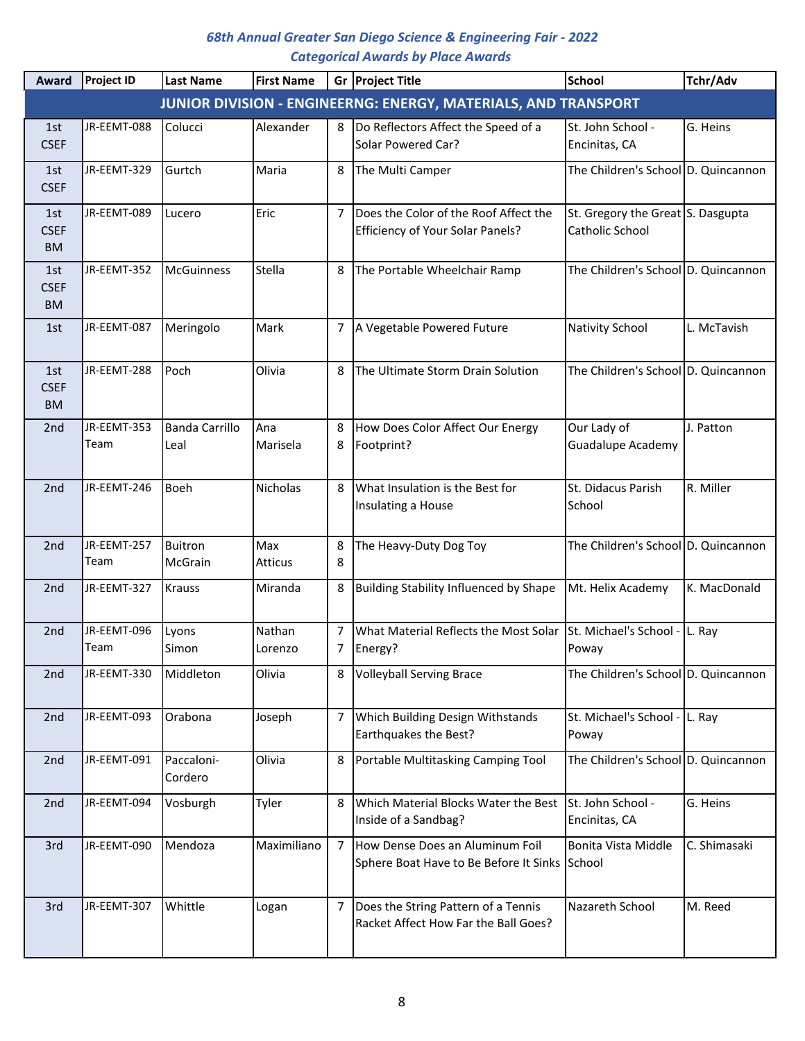| Award                           | <b>Project ID</b>   | <b>Last Name</b>              | <b>First Name</b> | Gr             | <b>Project Title</b>                                                             | <b>School</b>                                        | Tchr/Adv     |
|---------------------------------|---------------------|-------------------------------|-------------------|----------------|----------------------------------------------------------------------------------|------------------------------------------------------|--------------|
|                                 |                     |                               |                   |                | JUNIOR DIVISION - ENGINEERNG: ENERGY, MATERIALS, AND TRANSPORT                   |                                                      |              |
| 1st<br><b>CSEF</b>              | JR-EEMT-088         | Colucci                       | Alexander         | 8              | Do Reflectors Affect the Speed of a<br>Solar Powered Car?                        | St. John School -<br>Encinitas, CA                   | G. Heins     |
| 1st<br><b>CSEF</b>              | JR-EEMT-329         | Gurtch                        | Maria             | 8              | The Multi Camper                                                                 | The Children's School D. Quincannon                  |              |
| 1st<br><b>CSEF</b><br><b>BM</b> | JR-EEMT-089         | Lucero                        | Eric              | 7              | Does the Color of the Roof Affect the<br><b>Efficiency of Your Solar Panels?</b> | St. Gregory the Great S. Dasgupta<br>Catholic School |              |
| 1st<br><b>CSEF</b><br><b>BM</b> | JR-EEMT-352         | <b>McGuinness</b>             | Stella            | 8              | The Portable Wheelchair Ramp                                                     | The Children's School D. Quincannon                  |              |
| 1st                             | JR-EEMT-087         | Meringolo                     | Mark              | 7              | A Vegetable Powered Future                                                       | Nativity School                                      | L. McTavish  |
| 1st<br><b>CSEF</b><br><b>BM</b> | JR-EEMT-288         | Poch                          | Olivia            | 8              | The Ultimate Storm Drain Solution                                                | The Children's School D. Quincannon                  |              |
| 2nd                             | JR-EEMT-353<br>Team | <b>Banda Carrillo</b><br>Leal | Ana<br>Marisela   | 8<br>8         | How Does Color Affect Our Energy<br>Footprint?                                   | Our Lady of<br><b>Guadalupe Academy</b>              | J. Patton    |
| 2 <sub>nd</sub>                 | JR-EEMT-246         | Boeh                          | Nicholas          | 8              | What Insulation is the Best for<br>Insulating a House                            | St. Didacus Parish<br>School                         | R. Miller    |
| 2nd                             | JR-EEMT-257<br>Team | <b>Buitron</b><br>McGrain     | Max<br>Atticus    | 8<br>8         | The Heavy-Duty Dog Toy                                                           | The Children's School D. Quincannon                  |              |
| 2nd                             | JR-EEMT-327         | Krauss                        | Miranda           | 8              | <b>Building Stability Influenced by Shape</b>                                    | Mt. Helix Academy                                    | K. MacDonald |
| 2nd                             | JR-EEMT-096<br>Team | Lyons<br>Simon                | Nathan<br>Lorenzo | 7<br>7         | What Material Reflects the Most Solar<br>Energy?                                 | St. Michael's School - L. Ray<br>Poway               |              |
| 2nd                             | JR-EEMT-330         | Middleton                     | Olivia            | 8              | <b>Volleyball Serving Brace</b>                                                  | The Children's School D. Quincannon                  |              |
| 2nd                             | JR-EEMT-093         | Orabona                       | Joseph            | 7              | Which Building Design Withstands<br>Earthquakes the Best?                        | St. Michael's School - L. Ray<br>Poway               |              |
| 2nd                             | JR-EEMT-091         | Paccaloni-<br>Cordero         | Olivia            | 8              | Portable Multitasking Camping Tool                                               | The Children's School D. Quincannon                  |              |
| 2nd                             | JR-EEMT-094         | Vosburgh                      | Tyler             | 8              | Which Material Blocks Water the Best<br>Inside of a Sandbag?                     | St. John School -<br>Encinitas, CA                   | G. Heins     |
| 3rd                             | JR-EEMT-090         | Mendoza                       | Maximiliano       | $\overline{7}$ | How Dense Does an Aluminum Foil<br>Sphere Boat Have to Be Before It Sinks School | Bonita Vista Middle                                  | C. Shimasaki |
| 3rd                             | JR-EEMT-307         | Whittle                       | Logan             | 7              | Does the String Pattern of a Tennis<br>Racket Affect How Far the Ball Goes?      | Nazareth School                                      | M. Reed      |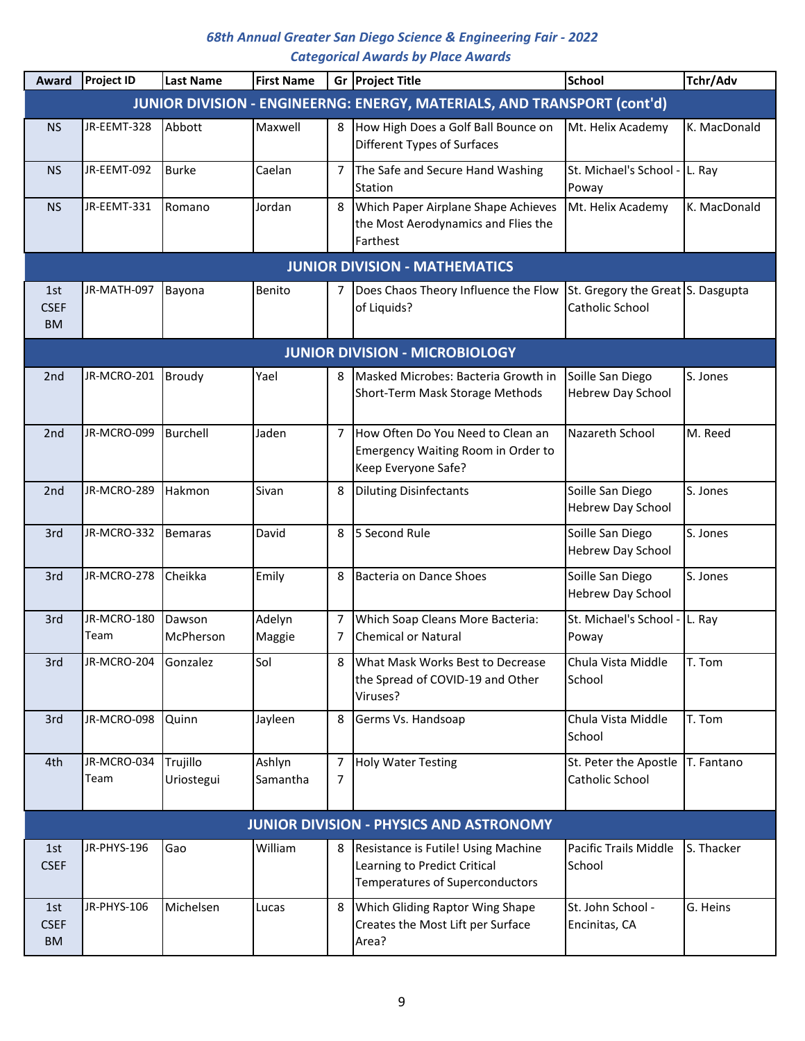| Award                           | <b>Project ID</b>    | <b>Last Name</b>       | <b>First Name</b>  |                                  | Gr Project Title                                                                                       | <b>School</b>                                        | Tchr/Adv     |
|---------------------------------|----------------------|------------------------|--------------------|----------------------------------|--------------------------------------------------------------------------------------------------------|------------------------------------------------------|--------------|
|                                 |                      |                        |                    |                                  | JUNIOR DIVISION - ENGINEERNG: ENERGY, MATERIALS, AND TRANSPORT (cont'd)                                |                                                      |              |
| <b>NS</b>                       | JR-EEMT-328          | Abbott                 | Maxwell            | 8                                | How High Does a Golf Ball Bounce on<br>Different Types of Surfaces                                     | Mt. Helix Academy                                    | K. MacDonald |
| <b>NS</b>                       | JR-EEMT-092          | Burke                  | Caelan             | 7                                | The Safe and Secure Hand Washing<br>Station                                                            | St. Michael's School -<br>Poway                      | L. Ray       |
| <b>NS</b>                       | JR-EEMT-331          | <b>Romano</b>          | Jordan             | 8                                | Which Paper Airplane Shape Achieves<br>the Most Aerodynamics and Flies the<br>Farthest                 | Mt. Helix Academy                                    | K. MacDonald |
|                                 |                      |                        |                    |                                  | <b>JUNIOR DIVISION - MATHEMATICS</b>                                                                   |                                                      |              |
| 1st<br><b>CSEF</b><br><b>BM</b> | JR-MATH-097          | Bayona                 | Benito             | 7                                | Does Chaos Theory Influence the Flow<br>of Liquids?                                                    | St. Gregory the Great S. Dasgupta<br>Catholic School |              |
|                                 |                      |                        |                    |                                  | <b>JUNIOR DIVISION - MICROBIOLOGY</b>                                                                  |                                                      |              |
| 2 <sub>nd</sub>                 | JR-MCRO-201          | Broudy                 | Yael               | 8                                | Masked Microbes: Bacteria Growth in<br>Short-Term Mask Storage Methods                                 | Soille San Diego<br>Hebrew Day School                | S. Jones     |
| 2nd                             | JR-MCRO-099          | Burchell               | Jaden              | 7                                | How Often Do You Need to Clean an<br>Emergency Waiting Room in Order to<br>Keep Everyone Safe?         | Nazareth School                                      | M. Reed      |
| 2nd                             | JR-MCRO-289          | <b>Hakmon</b>          | Sivan              | 8                                | <b>Diluting Disinfectants</b>                                                                          | Soille San Diego<br>Hebrew Day School                | S. Jones     |
| 3rd                             | JR-MCRO-332          | Bemaras                | David              | 8                                | 5 Second Rule                                                                                          | Soille San Diego<br>Hebrew Day School                | S. Jones     |
| 3rd                             | JR-MCRO-278          | Cheikka                | Emily              | 8                                | Bacteria on Dance Shoes                                                                                | Soille San Diego<br>Hebrew Day School                | S. Jones     |
| 3rd                             | JR-MCRO-180<br>Team  | Dawson<br>McPherson    | Adelyn<br>Maggie   | $\overline{7}$<br>$\overline{7}$ | Which Soap Cleans More Bacteria:<br><b>Chemical or Natural</b>                                         | St. Michael's School -<br>Poway                      | L. Ray       |
| 3rd                             | JR-MCRO-204 Gonzalez |                        | Sol                |                                  | What Mask Works Best to Decrease<br>the Spread of COVID-19 and Other<br>Viruses?                       | Chula Vista Middle<br>School                         | T. Tom       |
| 3rd                             | JR-MCRO-098          | Quinn                  | Jayleen            | 8                                | Germs Vs. Handsoap                                                                                     | Chula Vista Middle<br>School                         | T. Tom       |
| 4th                             | JR-MCRO-034<br>Team  | Trujillo<br>Uriostegui | Ashlyn<br>Samantha | 7<br>7                           | <b>Holy Water Testing</b>                                                                              | St. Peter the Apostle<br>Catholic School             | T. Fantano   |
|                                 |                      |                        |                    |                                  | <b>JUNIOR DIVISION - PHYSICS AND ASTRONOMY</b>                                                         |                                                      |              |
| 1st<br><b>CSEF</b>              | JR-PHYS-196          | Gao                    | William            | 8                                | Resistance is Futile! Using Machine<br>Learning to Predict Critical<br>Temperatures of Superconductors | Pacific Trails Middle<br>School                      | S. Thacker   |
| 1st<br><b>CSEF</b><br><b>BM</b> | JR-PHYS-106          | Michelsen              | Lucas              | 8                                | Which Gliding Raptor Wing Shape<br>Creates the Most Lift per Surface<br>Area?                          | St. John School -<br>Encinitas, CA                   | G. Heins     |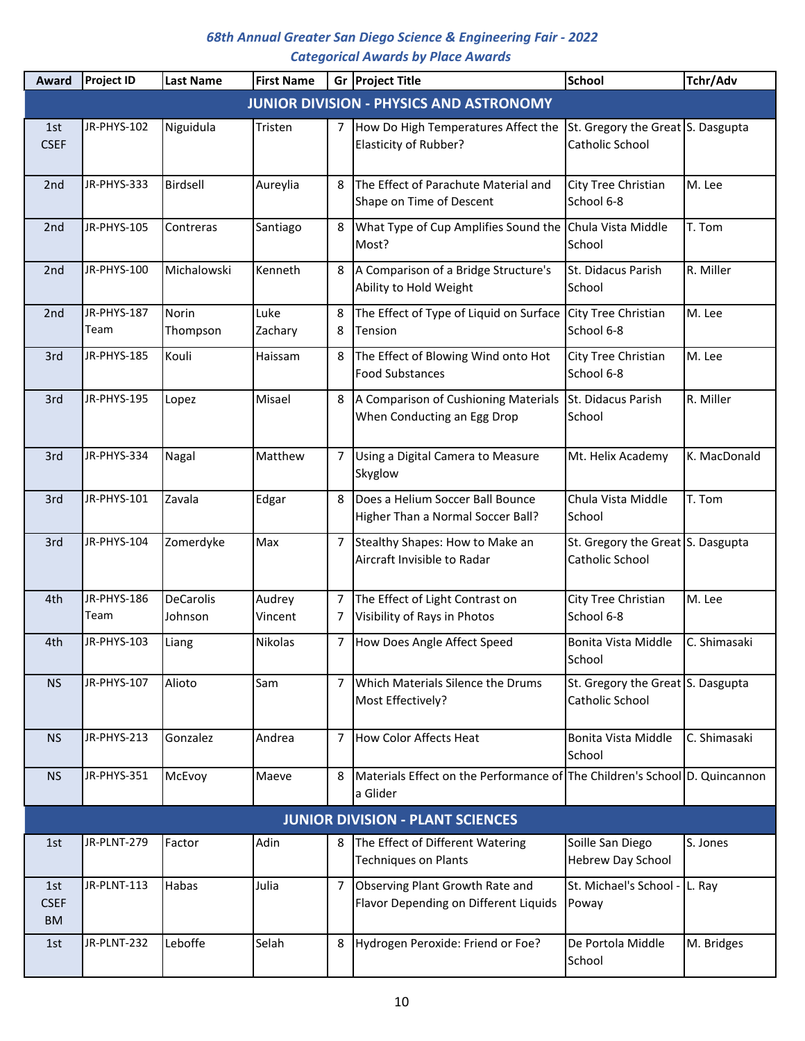| Award                           | <b>Project ID</b>   | <b>Last Name</b>            | <b>First Name</b> |        | Gr Project Title                                                                       | <b>School</b>                                        | Tchr/Adv     |
|---------------------------------|---------------------|-----------------------------|-------------------|--------|----------------------------------------------------------------------------------------|------------------------------------------------------|--------------|
|                                 |                     |                             |                   |        | <b>JUNIOR DIVISION - PHYSICS AND ASTRONOMY</b>                                         |                                                      |              |
| 1st<br><b>CSEF</b>              | JR-PHYS-102         | Niguidula                   | Tristen           | 7      | How Do High Temperatures Affect the<br>Elasticity of Rubber?                           | St. Gregory the Great S. Dasgupta<br>Catholic School |              |
| 2nd                             | JR-PHYS-333         | Birdsell                    | Aureylia          | 8      | The Effect of Parachute Material and<br>Shape on Time of Descent                       | City Tree Christian<br>School 6-8                    | M. Lee       |
| 2nd                             | JR-PHYS-105         | Contreras                   | Santiago          | 8      | What Type of Cup Amplifies Sound the<br>Most?                                          | Chula Vista Middle<br>School                         | T. Tom       |
| 2nd                             | JR-PHYS-100         | Michalowski                 | Kenneth           | 8      | A Comparison of a Bridge Structure's<br>Ability to Hold Weight                         | St. Didacus Parish<br>School                         | R. Miller    |
| 2nd                             | JR-PHYS-187<br>Team | Norin<br>Thompson           | Luke<br>Zachary   | 8<br>8 | The Effect of Type of Liquid on Surface<br>Tension                                     | City Tree Christian<br>School 6-8                    | M. Lee       |
| 3rd                             | JR-PHYS-185         | Kouli                       | Haissam           | 8      | The Effect of Blowing Wind onto Hot<br><b>Food Substances</b>                          | City Tree Christian<br>School 6-8                    | M. Lee       |
| 3rd                             | JR-PHYS-195         | Lopez                       | Misael            | 8      | A Comparison of Cushioning Materials<br>When Conducting an Egg Drop                    | St. Didacus Parish<br>School                         | R. Miller    |
| 3rd                             | JR-PHYS-334         | Nagal                       | Matthew           | 7      | Using a Digital Camera to Measure<br>Skyglow                                           | Mt. Helix Academy                                    | K. MacDonald |
| 3rd                             | JR-PHYS-101         | Zavala                      | Edgar             | 8      | Does a Helium Soccer Ball Bounce<br>Higher Than a Normal Soccer Ball?                  | Chula Vista Middle<br>School                         | T. Tom       |
| 3rd                             | JR-PHYS-104         | Zomerdyke                   | Max               | 7      | Stealthy Shapes: How to Make an<br>Aircraft Invisible to Radar                         | St. Gregory the Great S. Dasgupta<br>Catholic School |              |
| 4th                             | JR-PHYS-186<br>Team | <b>DeCarolis</b><br>Johnson | Audrey<br>Vincent | 7<br>7 | The Effect of Light Contrast on<br>Visibility of Rays in Photos                        | City Tree Christian<br>School 6-8                    | M. Lee       |
| 4th                             | JR-PHYS-103         | Liang                       | Nikolas           | 7      | How Does Angle Affect Speed                                                            | Bonita Vista Middle<br>School                        | C. Shimasaki |
| <b>NS</b>                       | JR-PHYS-107         | Alioto                      | Sam               | 7      | Which Materials Silence the Drums<br>Most Effectively?                                 | St. Gregory the Great S. Dasgupta<br>Catholic School |              |
| <b>NS</b>                       | JR-PHYS-213         | Gonzalez                    | Andrea            | 7      | <b>How Color Affects Heat</b>                                                          | Bonita Vista Middle<br>School                        | C. Shimasaki |
| <b>NS</b>                       | JR-PHYS-351         | McEvoy                      | Maeve             | 8      | Materials Effect on the Performance of The Children's School D. Quincannon<br>a Glider |                                                      |              |
|                                 |                     |                             |                   |        | <b>JUNIOR DIVISION - PLANT SCIENCES</b>                                                |                                                      |              |
| 1st                             | JR-PLNT-279         | Factor                      | Adin              | 8      | The Effect of Different Watering<br><b>Techniques on Plants</b>                        | Soille San Diego<br><b>Hebrew Day School</b>         | S. Jones     |
| 1st<br><b>CSEF</b><br><b>BM</b> | JR-PLNT-113         | Habas                       | Julia             | 7      | Observing Plant Growth Rate and<br>Flavor Depending on Different Liquids               | St. Michael's School -<br>Poway                      | L. Ray       |
| 1st                             | JR-PLNT-232         | Leboffe                     | Selah             | 8      | Hydrogen Peroxide: Friend or Foe?                                                      | De Portola Middle<br>School                          | M. Bridges   |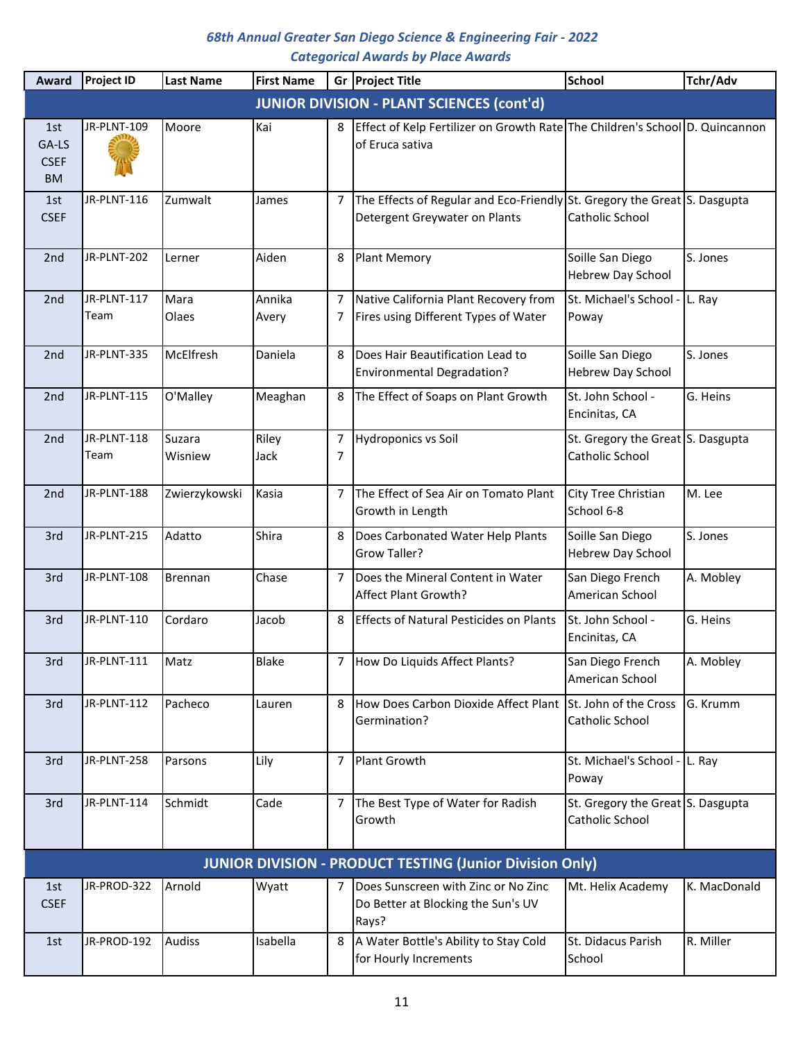| Award                                    | Project ID          | <b>Last Name</b>  | <b>First Name</b> |        | Gr Project Title                                                                                           | <b>School</b>                                        | Tchr/Adv     |
|------------------------------------------|---------------------|-------------------|-------------------|--------|------------------------------------------------------------------------------------------------------------|------------------------------------------------------|--------------|
|                                          |                     |                   |                   |        | <b>JUNIOR DIVISION - PLANT SCIENCES (cont'd)</b>                                                           |                                                      |              |
| 1st<br>GA-LS<br><b>CSEF</b><br><b>BM</b> | JR-PLNT-109         | Moore             | Kai               | 8      | Effect of Kelp Fertilizer on Growth Rate The Children's School D. Quincannon<br>of Eruca sativa            |                                                      |              |
| 1st<br><b>CSEF</b>                       | JR-PLNT-116         | Zumwalt           | James             | 7      | The Effects of Regular and Eco-Friendly St. Gregory the Great S. Dasgupta<br>Detergent Greywater on Plants | Catholic School                                      |              |
| 2 <sub>nd</sub>                          | JR-PLNT-202         | Lerner            | Aiden             | 8      | <b>Plant Memory</b>                                                                                        | Soille San Diego<br>Hebrew Day School                | S. Jones     |
| 2 <sub>nd</sub>                          | JR-PLNT-117<br>Team | Mara<br>Olaes     | Annika<br>Avery   | 7<br>7 | Native California Plant Recovery from<br>Fires using Different Types of Water                              | St. Michael's School -<br>Poway                      | L. Ray       |
| 2nd                                      | JR-PLNT-335         | McElfresh         | Daniela           | 8      | Does Hair Beautification Lead to<br><b>Environmental Degradation?</b>                                      | Soille San Diego<br><b>Hebrew Day School</b>         | S. Jones     |
| 2 <sub>nd</sub>                          | JR-PLNT-115         | O'Malley          | Meaghan           | 8      | The Effect of Soaps on Plant Growth                                                                        | St. John School -<br>Encinitas, CA                   | G. Heins     |
| 2 <sub>nd</sub>                          | JR-PLNT-118<br>Team | Suzara<br>Wisniew | Riley<br>Jack     | 7<br>7 | <b>Hydroponics vs Soil</b>                                                                                 | St. Gregory the Great S. Dasgupta<br>Catholic School |              |
| 2nd                                      | JR-PLNT-188         | Zwierzykowski     | Kasia             | 7      | The Effect of Sea Air on Tomato Plant<br>Growth in Length                                                  | City Tree Christian<br>School 6-8                    | M. Lee       |
| 3rd                                      | JR-PLNT-215         | Adatto            | Shira             | 8      | Does Carbonated Water Help Plants<br>Grow Taller?                                                          | Soille San Diego<br>Hebrew Day School                | S. Jones     |
| 3rd                                      | JR-PLNT-108         | <b>Brennan</b>    | Chase             | 7      | Does the Mineral Content in Water<br>Affect Plant Growth?                                                  | San Diego French<br>American School                  | A. Mobley    |
| 3rd                                      | JR-PLNT-110         | Cordaro           | Jacob             | 8      | <b>Effects of Natural Pesticides on Plants</b>                                                             | St. John School -<br>Encinitas, CA                   | G. Heins     |
| 3rd                                      | JR-PLNT-111         | Matz              | <b>Blake</b>      | 7      | How Do Liquids Affect Plants?                                                                              | San Diego French<br>American School                  | A. Mobley    |
| 3rd                                      | JR-PLNT-112         | Pacheco           | Lauren            | 8      | How Does Carbon Dioxide Affect Plant<br>Germination?                                                       | St. John of the Cross<br>Catholic School             | G. Krumm     |
| 3rd                                      | JR-PLNT-258         | Parsons           | Lily              | 7      | <b>Plant Growth</b>                                                                                        | St. Michael's School - L. Ray<br>Poway               |              |
| 3rd                                      | JR-PLNT-114         | Schmidt           | Cade              | 7      | The Best Type of Water for Radish<br>Growth                                                                | St. Gregory the Great S. Dasgupta<br>Catholic School |              |
|                                          |                     |                   |                   |        | <b>JUNIOR DIVISION - PRODUCT TESTING (Junior Division Only)</b>                                            |                                                      |              |
| 1st<br><b>CSEF</b>                       | JR-PROD-322         | Arnold            | Wyatt             |        | Does Sunscreen with Zinc or No Zinc<br>Do Better at Blocking the Sun's UV<br>Rays?                         | Mt. Helix Academy                                    | K. MacDonald |
| 1st                                      | JR-PROD-192         | <b>Audiss</b>     | Isabella          | 8      | A Water Bottle's Ability to Stay Cold<br>for Hourly Increments                                             | St. Didacus Parish<br>School                         | R. Miller    |